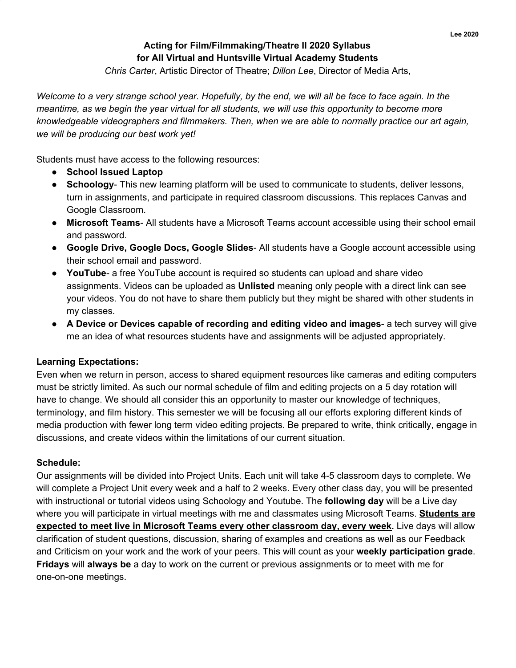## **Acting for Film/Filmmaking/Theatre II 2020 Syllabus for All Virtual and Huntsville Virtual Academy Students**

*Chris Carter*, Artistic Director of Theatre; *Dillon Lee*, Director of Media Arts,

Welcome to a very strange school year. Hopefully, by the end, we will all be face to face again. In the meantime, as we begin the year virtual for all students, we will use this opportunity to become more *knowledgeable videographers and filmmakers. Then, when we are able to normally practice our art again, we will be producing our best work yet!*

Students must have access to the following resources:

- **● School Issued Laptop**
- **Schoology** This new learning platform will be used to communicate to students, deliver lessons, turn in assignments, and participate in required classroom discussions. This replaces Canvas and Google Classroom.
- **Microsoft Teams** All students have a Microsoft Teams account accessible using their school email and password.
- **Google Drive, Google Docs, Google Slides** All students have a Google account accessible using their school email and password.
- **YouTube** a free YouTube account is required so students can upload and share video assignments. Videos can be uploaded as **Unlisted** meaning only people with a direct link can see your videos. You do not have to share them publicly but they might be shared with other students in my classes.
- **A Device or Devices capable of recording and editing video and images** a tech survey will give me an idea of what resources students have and assignments will be adjusted appropriately.

#### **Learning Expectations:**

Even when we return in person, access to shared equipment resources like cameras and editing computers must be strictly limited. As such our normal schedule of film and editing projects on a 5 day rotation will have to change. We should all consider this an opportunity to master our knowledge of techniques, terminology, and film history. This semester we will be focusing all our efforts exploring different kinds of media production with fewer long term video editing projects. Be prepared to write, think critically, engage in discussions, and create videos within the limitations of our current situation.

#### **Schedule:**

Our assignments will be divided into Project Units. Each unit will take 4-5 classroom days to complete. We will complete a Project Unit every week and a half to 2 weeks. Every other class day, you will be presented with instructional or tutorial videos using Schoology and Youtube. The **following day** will be a Live day where you will participate in virtual meetings with me and classmates using Microsoft Teams. **Students are expected to meet live in Microsoft Teams every other classroom day, every week.** Live days will allow clarification of student questions, discussion, sharing of examples and creations as well as our Feedback and Criticism on your work and the work of your peers. This will count as your **weekly participation grade**. **Fridays** will **always be** a day to work on the current or previous assignments or to meet with me for one-on-one meetings.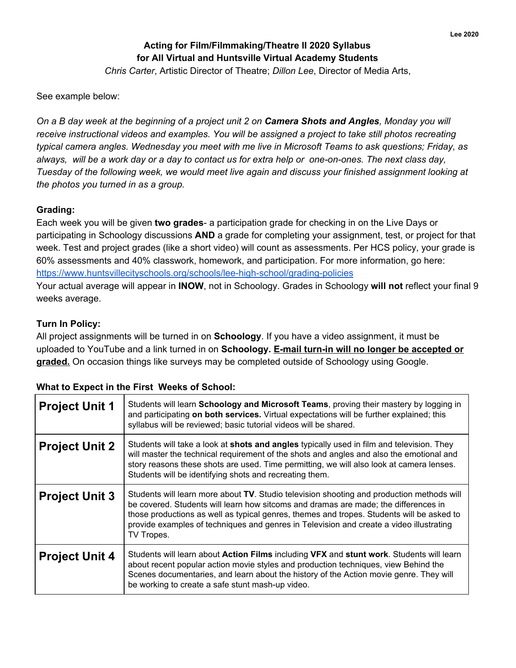## **Acting for Film/Filmmaking/Theatre II 2020 Syllabus for All Virtual and Huntsville Virtual Academy Students** *Chris Carter*, Artistic Director of Theatre; *Dillon Lee*, Director of Media Arts,

See example below:

On a B day week at the beginning of a project unit 2 on Camera Shots and Angles, Monday you will *receive instructional videos and examples. You will be assigned a project to take still photos recreating typical camera angles. Wednesday you meet with me live in Microsoft Teams to ask questions; Friday, as* always, will be a work day or a day to contact us for extra help or one-on-ones. The next class day, *Tuesday of the following week, we would meet live again and discuss your finished assignment looking at the photos you turned in as a group.*

#### **Grading:**

Each week you will be given **two grades**- a participation grade for checking in on the Live Days or participating in Schoology discussions **AND** a grade for completing your assignment, test, or project for that week. Test and project grades (like a short video) will count as assessments. Per HCS policy, your grade is 60% assessments and 40% classwork, homework, and participation. For more information, go here: <https://www.huntsvillecityschools.org/schools/lee-high-school/grading-policies> Your actual average will appear in **INOW**, not in Schoology. Grades in Schoology **will not** reflect your final 9

weeks average.

### **Turn In Policy:**

All project assignments will be turned in on **Schoology**. If you have a video assignment, it must be uploaded to YouTube and a link turned in on **Schoology. E-mail turn-in will no longer be accepted or** graded. On occasion things like surveys may be completed outside of Schoology using Google.

### **What to Expect in the First Weeks of School:**

| <b>Project Unit 1</b> | Students will learn Schoology and Microsoft Teams, proving their mastery by logging in<br>and participating on both services. Virtual expectations will be further explained; this<br>syllabus will be reviewed; basic tutorial videos will be shared.                                                                                                                                 |
|-----------------------|----------------------------------------------------------------------------------------------------------------------------------------------------------------------------------------------------------------------------------------------------------------------------------------------------------------------------------------------------------------------------------------|
| <b>Project Unit 2</b> | Students will take a look at shots and angles typically used in film and television. They<br>will master the technical requirement of the shots and angles and also the emotional and<br>story reasons these shots are used. Time permitting, we will also look at camera lenses.<br>Students will be identifying shots and recreating them.                                           |
| <b>Project Unit 3</b> | Students will learn more about TV. Studio television shooting and production methods will<br>be covered. Students will learn how sitcoms and dramas are made; the differences in<br>those productions as well as typical genres, themes and tropes. Students will be asked to<br>provide examples of techniques and genres in Television and create a video illustrating<br>TV Tropes. |
| <b>Project Unit 4</b> | Students will learn about Action Films including VFX and stunt work. Students will learn<br>about recent popular action movie styles and production techniques, view Behind the<br>Scenes documentaries, and learn about the history of the Action movie genre. They will<br>be working to create a safe stunt mash-up video.                                                          |